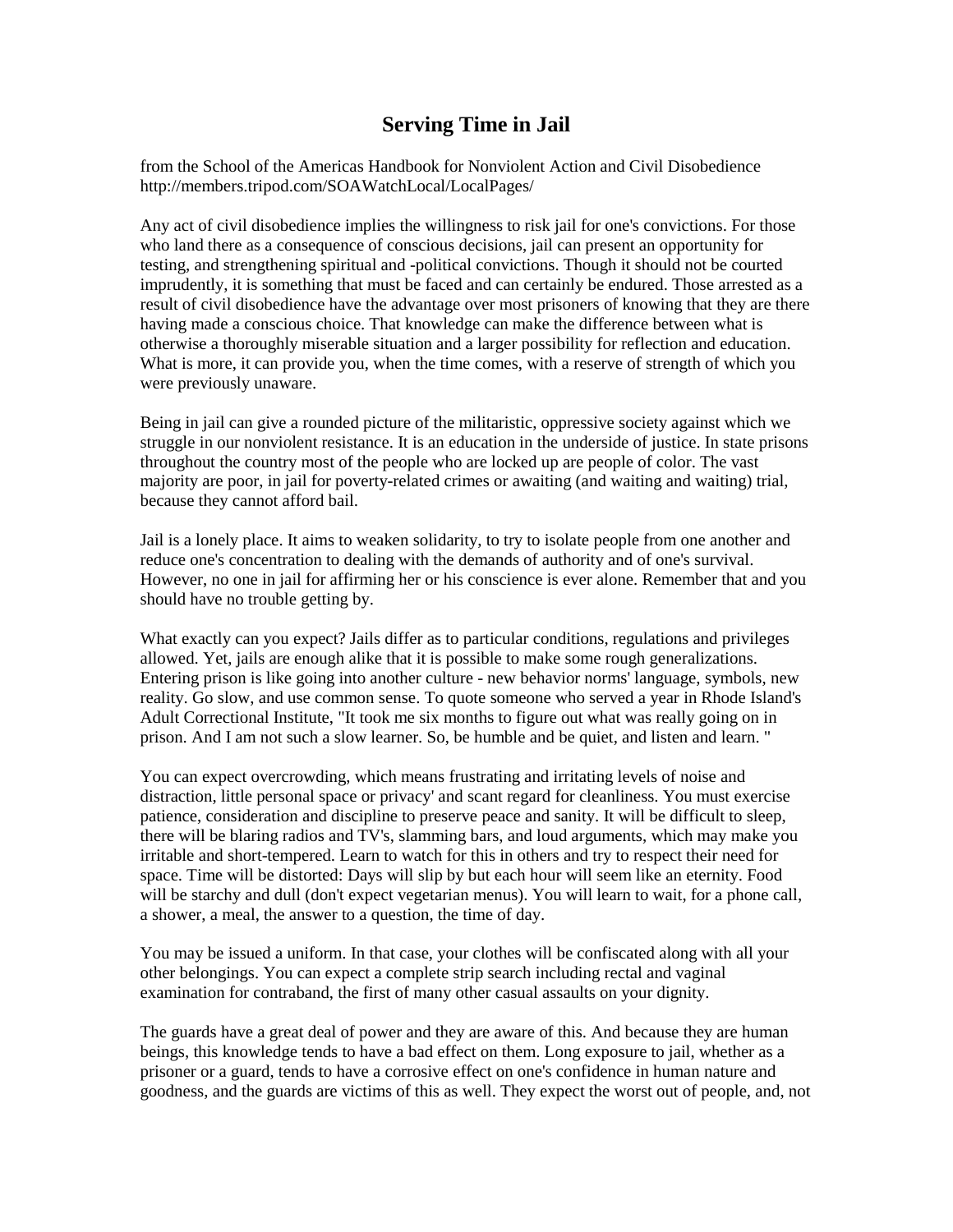## **Serving Time in Jail**

from the School of the Americas Handbook for Nonviolent Action and Civil Disobedience http://members.tripod.com/SOAWatchLocal/LocalPages/

Any act of civil disobedience implies the willingness to risk jail for one's convictions. For those who land there as a consequence of conscious decisions, jail can present an opportunity for testing, and strengthening spiritual and -political convictions. Though it should not be courted imprudently, it is something that must be faced and can certainly be endured. Those arrested as a result of civil disobedience have the advantage over most prisoners of knowing that they are there having made a conscious choice. That knowledge can make the difference between what is otherwise a thoroughly miserable situation and a larger possibility for reflection and education. What is more, it can provide you, when the time comes, with a reserve of strength of which you were previously unaware.

Being in jail can give a rounded picture of the militaristic, oppressive society against which we struggle in our nonviolent resistance. It is an education in the underside of justice. In state prisons throughout the country most of the people who are locked up are people of color. The vast majority are poor, in jail for poverty-related crimes or awaiting (and waiting and waiting) trial, because they cannot afford bail.

Jail is a lonely place. It aims to weaken solidarity, to try to isolate people from one another and reduce one's concentration to dealing with the demands of authority and of one's survival. However, no one in jail for affirming her or his conscience is ever alone. Remember that and you should have no trouble getting by.

What exactly can you expect? Jails differ as to particular conditions, regulations and privileges allowed. Yet, jails are enough alike that it is possible to make some rough generalizations. Entering prison is like going into another culture - new behavior norms' language, symbols, new reality. Go slow, and use common sense. To quote someone who served a year in Rhode Island's Adult Correctional Institute, "It took me six months to figure out what was really going on in prison. And I am not such a slow learner. So, be humble and be quiet, and listen and learn. "

You can expect overcrowding, which means frustrating and irritating levels of noise and distraction, little personal space or privacy' and scant regard for cleanliness. You must exercise patience, consideration and discipline to preserve peace and sanity. It will be difficult to sleep, there will be blaring radios and TV's, slamming bars, and loud arguments, which may make you irritable and short-tempered. Learn to watch for this in others and try to respect their need for space. Time will be distorted: Days will slip by but each hour will seem like an eternity. Food will be starchy and dull (don't expect vegetarian menus). You will learn to wait, for a phone call, a shower, a meal, the answer to a question, the time of day.

You may be issued a uniform. In that case, your clothes will be confiscated along with all your other belongings. You can expect a complete strip search including rectal and vaginal examination for contraband, the first of many other casual assaults on your dignity.

The guards have a great deal of power and they are aware of this. And because they are human beings, this knowledge tends to have a bad effect on them. Long exposure to jail, whether as a prisoner or a guard, tends to have a corrosive effect on one's confidence in human nature and goodness, and the guards are victims of this as well. They expect the worst out of people, and, not